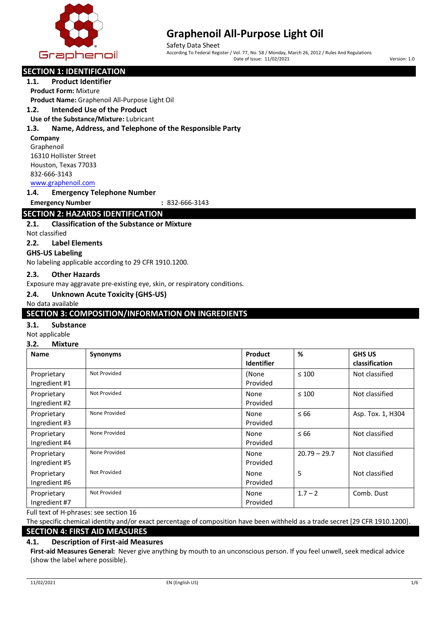

Safety Data Sheet According To Federal Register / Vol. 77, No. 58 / Monday, March 26, 2012 / Rules And Regulations Date of Issue: 11/02/2021 Version: 1.0

# **SECTION 1: IDENTIFICATION**

**1.1. Product Identifier**

**Product Form:** Mixture **Product Name:** Graphenoil All-Purpose Light Oil

# **1.2. Intended Use of the Product**

**Use of the Substance/Mixture:** Lubricant

#### **1.3. Name, Address, and Telephone of the Responsible Party**

**Company**

Graphenoil 16310 Hollister Street Houston, Texas 77033 832-666-3143 www.graphenoil.com

**1.4. Emergency Telephone Number**

**Emergency Number :** 832-666-3143

# **SECTION 2: HAZARDS IDENTIFICATION**

#### **2.1. Classification of the Substance or Mixture**

Not classified

**2.2. Label Elements**

#### **GHS-US Labeling**

No labeling applicable according to 29 CFR 1910.1200.

#### **2.3. Other Hazards**

Exposure may aggravate pre-existing eye, skin, or respiratory conditions.

#### **2.4. Unknown Acute Toxicity (GHS-US)**

No data available

## **SECTION 3: COMPOSITION/INFORMATION ON INGREDIENTS**

#### **3.1. Substance**

#### Not applicable

#### **3.2. Mixture**

| <b>Name</b>                  | <b>Synonyms</b> | <b>Product</b><br><b>Identifier</b> | %              | <b>GHS US</b><br>classification |
|------------------------------|-----------------|-------------------------------------|----------------|---------------------------------|
| Proprietary<br>Ingredient #1 | Not Provided    | (None<br>Provided                   | $\leq 100$     | Not classified                  |
| Proprietary<br>Ingredient #2 | Not Provided    | None<br>Provided                    | $\leq 100$     | Not classified                  |
| Proprietary<br>Ingredient #3 | None Provided   | None<br>Provided                    | $\leq 66$      | Asp. Tox. 1, H304               |
| Proprietary<br>Ingredient #4 | None Provided   | None<br>Provided                    | $\leq 66$      | Not classified                  |
| Proprietary<br>Ingredient #5 | None Provided   | None<br>Provided                    | $20.79 - 29.7$ | Not classified                  |
| Proprietary<br>Ingredient #6 | Not Provided    | None<br>Provided                    | 5              | Not classified                  |
| Proprietary<br>Ingredient #7 | Not Provided    | None<br>Provided                    | $1.7 - 2$      | Comb. Dust                      |

Full text of H-phrases: see section 16

The specific chemical identity and/or exact percentage of composition have been withheld as a trade secret [29 CFR 1910.1200].

# **SECTION 4: FIRST AID MEASURES**

#### **4.1. Description of First-aid Measures**

**First-aid Measures General:** Never give anything by mouth to an unconscious person. If you feel unwell, seek medical advice (show the label where possible).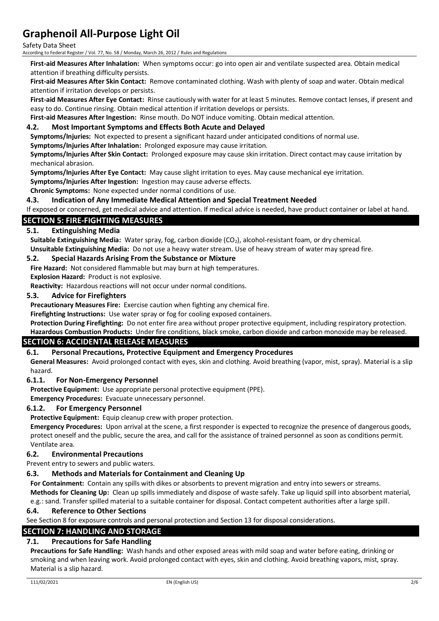Safety Data Sheet

According to Federal Register / Vol. 77, No. 58 / Monday, March 26, 2012 / Rules and Regulations

**First-aid Measures After Inhalation:** When symptoms occur: go into open air and ventilate suspected area. Obtain medical attention if breathing difficulty persists.

**First-aid Measures After Skin Contact:** Remove contaminated clothing. Wash with plenty of soap and water. Obtain medical attention if irritation develops or persists.

**First-aid Measures After Eye Contact:** Rinse cautiously with water for at least 5 minutes. Remove contact lenses, if present and easy to do. Continue rinsing. Obtain medical attention if irritation develops or persists.

**First-aid Measures After Ingestion:** Rinse mouth. Do NOT induce vomiting. Obtain medical attention.

#### **4.2. Most Important Symptoms and Effects Both Acute and Delayed**

**Symptoms/Injuries:** Not expected to present a significant hazard under anticipated conditions of normal use.

**Symptoms/Injuries After Inhalation:** Prolonged exposure may cause irritation.

**Symptoms/Injuries After Skin Contact:** Prolonged exposure may cause skin irritation. Direct contact may cause irritation by mechanical abrasion.

**Symptoms/Injuries After Eye Contact:** May cause slight irritation to eyes. May cause mechanical eye irritation.

**Symptoms/Injuries After Ingestion:** Ingestion may cause adverse effects.

**Chronic Symptoms:** None expected under normal conditions of use.

#### **4.3. Indication of Any Immediate Medical Attention and Special Treatment Needed**

If exposed or concerned, get medical advice and attention. If medical advice is needed, have product container or label at hand.

#### **SECTION 5: FIRE-FIGHTING MEASURES**

#### **5.1. Extinguishing Media**

Suitable Extinguishing Media: Water spray, fog, carbon dioxide (CO<sub>2</sub>), alcohol-resistant foam, or dry chemical.

**Unsuitable Extinguishing Media:** Do not use a heavy water stream. Use of heavy stream of water may spread fire.

#### **5.2. Special Hazards Arising From the Substance or Mixture**

**Fire Hazard:** Not considered flammable but may burn at high temperatures. **Explosion Hazard:** Product is not explosive.

**Reactivity:** Hazardous reactions will not occur under normal conditions.

#### **5.3. Advice for Firefighters**

**Precautionary Measures Fire:** Exercise caution when fighting any chemical fire.

**Firefighting Instructions:** Use water spray or fog for cooling exposed containers.

**Protection During Firefighting:** Do not enter fire area without proper protective equipment, including respiratory protection. **Hazardous Combustion Products:** Under fire conditions, black smoke, carbon dioxide and carbon monoxide may be released.

### **SECTION 6: ACCIDENTAL RELEASE MEASURES**

#### **6.1. Personal Precautions, Protective Equipment and Emergency Procedures**

**General Measures:** Avoid prolonged contact with eyes, skin and clothing. Avoid breathing (vapor, mist, spray). Material is a slip hazard.

#### **6.1.1. For Non-Emergency Personnel**

**Protective Equipment:** Use appropriate personal protective equipment (PPE).

**Emergency Procedures:** Evacuate unnecessary personnel.

#### **6.1.2. For Emergency Personnel**

**Protective Equipment:** Equip cleanup crew with proper protection.

**Emergency Procedures:** Upon arrival at the scene, a first responder is expected to recognize the presence of dangerous goods, protect oneself and the public, secure the area, and call for the assistance of trained personnel as soon as conditions permit. Ventilate area.

#### **6.2. Environmental Precautions**

Prevent entry to sewers and public waters.

#### **6.3. Methods and Materials for Containment and Cleaning Up**

**For Containment:** Contain any spills with dikes or absorbents to prevent migration and entry into sewers or streams.

**Methods for Cleaning Up:** Clean up spills immediately and dispose of waste safely. Take up liquid spill into absorbent material, e.g.: sand. Transfer spilled material to a suitable container for disposal. Contact competent authorities after a large spill.

#### **6.4. Reference to Other Sections**

See Section 8 for exposure controls and personal protection and Section 13 for disposal considerations.

# **SECTION 7: HANDLING AND STORAGE**

# **7.1. Precautions for Safe Handling**

**Precautions for Safe Handling:** Wash hands and other exposed areas with mild soap and water before eating, drinking or smoking and when leaving work. Avoid prolonged contact with eyes, skin and clothing. Avoid breathing vapors, mist, spray. Material is a slip hazard.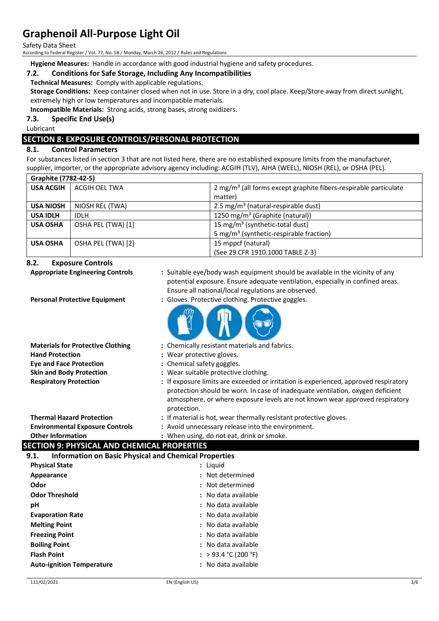Safety Data Sheet

According to Federal Register / Vol. 77, No. 58 / Monday, March 26, 2012 / Rules and Regulations

**Hygiene Measures:** Handle in accordance with good industrial hygiene and safety procedures.

# **7.2. Conditions for Safe Storage, Including Any Incompatibilities**

**Technical Measures:** Comply with applicable regulations.

**Storage Conditions:** Keep container closed when not in use. Store in a dry, cool place. Keep/Store away from direct sunlight, extremely high or low temperatures and incompatible materials.

**Incompatible Materials:** Strong acids, strong bases, strong oxidizers.

**7.3. Specific End Use(s)**

Lubricant

# **SECTION 8: EXPOSURE CONTROLS/PERSONAL PROTECTION**

# **8.1. Control Parameters**

For substances listed in section 3 that are not listed here, there are no established exposure limits from the manufacturer, supplier, importer, or the appropriate advisory agency including: ACGIH (TLV), AIHA (WEEL), NIOSH (REL), or OSHA (PEL).

| Graphite (7782-42-5) |                    |                                                                              |
|----------------------|--------------------|------------------------------------------------------------------------------|
| <b>USA ACGIH</b>     | ACGIH OEL TWA      | 2 mg/m <sup>3</sup> (all forms except graphite fibers-respirable particulate |
|                      |                    | matter)                                                                      |
| <b>USA NIOSH</b>     | NIOSH REL (TWA)    | 2.5 mg/m <sup>3</sup> (natural-respirable dust)                              |
| <b>USA IDLH</b>      | <b>IDLH</b>        | 1250 mg/m <sup>3</sup> (Graphite (natural))                                  |
| <b>USA OSHA</b>      | OSHA PEL (TWA) [1] | 15 mg/m <sup>3</sup> (synthetic-total dust)                                  |
|                      |                    | 5 mg/m <sup>3</sup> (synthetic-respirable fraction)                          |
| <b>USA OSHA</b>      | OSHA PEL (TWA) [2] | 15 mppcf (natural)                                                           |
|                      |                    | (See 29 CFR 1910.1000 TABLE Z-3)                                             |

#### **8.2. Exposure Controls**

| 8.2.<br><b>Exposure Controls</b>                                     |                                                                                                                                                                                                                        |  |
|----------------------------------------------------------------------|------------------------------------------------------------------------------------------------------------------------------------------------------------------------------------------------------------------------|--|
| <b>Appropriate Engineering Controls</b>                              | : Suitable eye/body wash equipment should be available in the vicinity of any<br>potential exposure. Ensure adequate ventilation, especially in confined areas.<br>Ensure all national/local regulations are observed. |  |
| <b>Personal Protective Equipment</b>                                 | : Gloves. Protective clothing. Protective goggles.                                                                                                                                                                     |  |
|                                                                      |                                                                                                                                                                                                                        |  |
| <b>Materials for Protective Clothing</b>                             | : Chemically resistant materials and fabrics.                                                                                                                                                                          |  |
| <b>Hand Protection</b>                                               | : Wear protective gloves.                                                                                                                                                                                              |  |
| <b>Eye and Face Protection</b>                                       | : Chemical safety goggles.                                                                                                                                                                                             |  |
| <b>Skin and Body Protection</b>                                      | : Wear suitable protective clothing.                                                                                                                                                                                   |  |
| <b>Respiratory Protection</b>                                        | : If exposure limits are exceeded or irritation is experienced, approved respiratory                                                                                                                                   |  |
|                                                                      | protection should be worn. In case of inadequate ventilation, oxygen deficient                                                                                                                                         |  |
|                                                                      | atmosphere, or where exposure levels are not known wear approved respiratory                                                                                                                                           |  |
|                                                                      | protection.                                                                                                                                                                                                            |  |
| <b>Thermal Hazard Protection</b>                                     | : If material is hot, wear thermally resistant protective gloves.                                                                                                                                                      |  |
| <b>Environmental Exposure Controls</b>                               | : Avoid unnecessary release into the environment.                                                                                                                                                                      |  |
| <b>Other Information</b>                                             | : When using, do not eat, drink or smoke.                                                                                                                                                                              |  |
| <b>SECTION 9: PHYSICAL AND CHEMICAL PROPERTIES</b>                   |                                                                                                                                                                                                                        |  |
| <b>Information on Basic Physical and Chemical Properties</b><br>9.1. |                                                                                                                                                                                                                        |  |
| <b>Physical State</b>                                                | : Liquid                                                                                                                                                                                                               |  |
| Appearance                                                           | : Not determined                                                                                                                                                                                                       |  |
| Odor                                                                 | Not determined                                                                                                                                                                                                         |  |
| <b>Odor Threshold</b>                                                | : No data available                                                                                                                                                                                                    |  |
| pH                                                                   | : No data available                                                                                                                                                                                                    |  |
| <b>Evaporation Rate</b>                                              | : No data available                                                                                                                                                                                                    |  |
| <b>Melting Point</b>                                                 | : No data available                                                                                                                                                                                                    |  |
| <b>Freezing Point</b>                                                | : No data available                                                                                                                                                                                                    |  |
| <b>Boiling Point</b>                                                 | : No data available                                                                                                                                                                                                    |  |
| <b>Flash Point</b>                                                   | : > 93.4 °C (200 °F)                                                                                                                                                                                                   |  |
| <b>Auto-ignition Temperature</b>                                     | : No data available                                                                                                                                                                                                    |  |
|                                                                      |                                                                                                                                                                                                                        |  |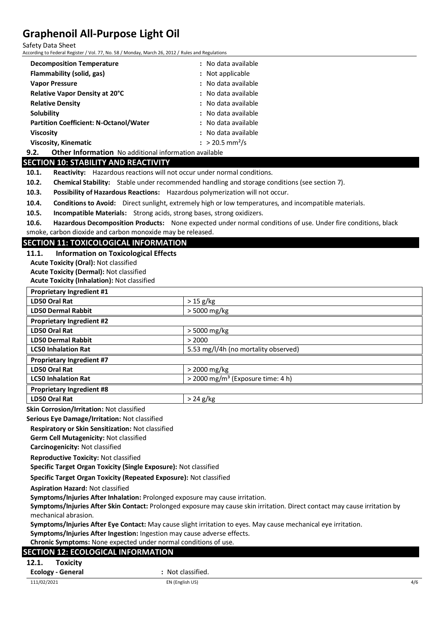Safety Data Sheet

According to Federal Register / Vol. 77, No. 58 / Monday, March 26, 2012 / Rules and Regulations

| <b>Decomposition Temperature</b>                                     | : No data available           |
|----------------------------------------------------------------------|-------------------------------|
| Flammability (solid, gas)                                            | : Not applicable              |
| <b>Vapor Pressure</b>                                                | : No data available           |
| <b>Relative Vapor Density at 20°C</b>                                | : No data available           |
| <b>Relative Density</b>                                              | : No data available           |
| <b>Solubility</b>                                                    | : No data available           |
| <b>Partition Coefficient: N-Octanol/Water</b>                        | : No data available           |
| <b>Viscosity</b>                                                     | : No data available           |
| <b>Viscosity, Kinematic</b>                                          | $: > 20.5$ mm <sup>2</sup> /s |
| 9.2.<br><b>Other Information</b> No additional information available |                               |

## **SECTION 10: STABILITY AND REACTIVITY**

**10.1. Reactivity:** Hazardous reactions will not occur under normal conditions.

**10.2. Chemical Stability:** Stable under recommended handling and storage conditions (see section 7).

**10.3. Possibility of Hazardous Reactions:** Hazardous polymerization will not occur.

**10.4. Conditions to Avoid:** Direct sunlight, extremely high or low temperatures, and incompatible materials.

**10.5. Incompatible Materials:** Strong acids, strong bases, strong oxidizers.

**10.6. Hazardous Decomposition Products:** None expected under normal conditions of use. Under fire conditions, black smoke, carbon dioxide and carbon monoxide may be released.

**SECTION 11: TOXICOLOGICAL INFORMATION 11.1. Information on Toxicological Effects**

**Acute Toxicity (Oral):** Not classified

**Acute Toxicity (Dermal):** Not classified

**Acute Toxicity (Inhalation):** Not classified

| <b>Proprietary Ingredient #1</b> |                                                 |
|----------------------------------|-------------------------------------------------|
| LD50 Oral Rat                    | $> 15$ g/kg                                     |
| <b>LD50 Dermal Rabbit</b>        | > 5000 mg/kg                                    |
| <b>Proprietary Ingredient #2</b> |                                                 |
| LD50 Oral Rat                    | > 5000 mg/kg                                    |
| <b>LD50 Dermal Rabbit</b>        | > 2000                                          |
| <b>LC50 Inhalation Rat</b>       | 5.53 mg/l/4h (no mortality observed)            |
| <b>Proprietary Ingredient #7</b> |                                                 |
| <b>LD50 Oral Rat</b>             | $>$ 2000 mg/kg                                  |
| <b>LC50 Inhalation Rat</b>       | $>$ 2000 mg/m <sup>3</sup> (Exposure time: 4 h) |
| <b>Proprietary Ingredient #8</b> |                                                 |
| LD50 Oral Rat                    | $> 24$ g/kg                                     |

**Skin Corrosion/Irritation:** Not classified

**Serious Eye Damage/Irritation:** Not classified

**Respiratory or Skin Sensitization:** Not classified **Germ Cell Mutagenicity:** Not classified

**Carcinogenicity:** Not classified

#### **Reproductive Toxicity:** Not classified

**Specific Target Organ Toxicity (Single Exposure):** Not classified

**Specific Target Organ Toxicity (Repeated Exposure):** Not classified

**Aspiration Hazard:** Not classified

**Symptoms/Injuries After Inhalation:** Prolonged exposure may cause irritation.

**Symptoms/Injuries After Skin Contact:** Prolonged exposure may cause skin irritation. Direct contact may cause irritation by mechanical abrasion.

**Symptoms/Injuries After Eye Contact:** May cause slight irritation to eyes. May cause mechanical eye irritation.

**Symptoms/Injuries After Ingestion:** Ingestion may cause adverse effects.

**Chronic Symptoms:** None expected under normal conditions of use.

## **SECTION 12: ECOLOGICAL INFORMATION**

**12.1. Toxicity**

**Ecology - General :** Not classified.

 $111/02/2021$  and the contract of the contract  $\mathsf{EN}\left(\mathsf{English}\cup\mathsf{S}\right)$  and the contract of the contract of the contract of the contract of the contract of the contract of the contract of the contract of the contract of t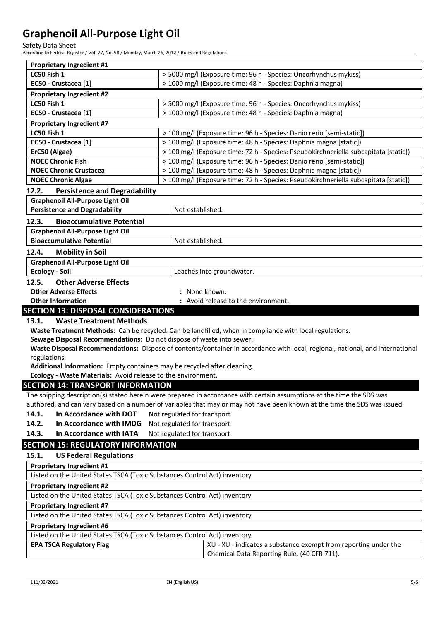Safety Data Sheet

According to Federal Register / Vol. 77, No. 58 / Monday, March 26, 2012 / Rules and Regulations

| <b>Proprietary Ingredient #1</b>                                          |                                                                                                                               |
|---------------------------------------------------------------------------|-------------------------------------------------------------------------------------------------------------------------------|
| LC50 Fish 1                                                               | > 5000 mg/l (Exposure time: 96 h - Species: Oncorhynchus mykiss)                                                              |
| EC50 - Crustacea [1]                                                      | > 1000 mg/l (Exposure time: 48 h - Species: Daphnia magna)                                                                    |
| <b>Proprietary Ingredient #2</b>                                          |                                                                                                                               |
| LC50 Fish 1                                                               | > 5000 mg/l (Exposure time: 96 h - Species: Oncorhynchus mykiss)                                                              |
| EC50 - Crustacea [1]                                                      | > 1000 mg/l (Exposure time: 48 h - Species: Daphnia magna)                                                                    |
| <b>Proprietary Ingredient #7</b>                                          |                                                                                                                               |
| LC50 Fish 1                                                               | > 100 mg/l (Exposure time: 96 h - Species: Danio rerio [semi-static])                                                         |
| EC50 - Crustacea [1]                                                      | > 100 mg/l (Exposure time: 48 h - Species: Daphnia magna [static])                                                            |
| ErC50 (Algae)                                                             | > 100 mg/l (Exposure time: 72 h - Species: Pseudokirchneriella subcapitata [static])                                          |
| <b>NOEC Chronic Fish</b>                                                  | > 100 mg/l (Exposure time: 96 h - Species: Danio rerio [semi-static])                                                         |
| <b>NOEC Chronic Crustacea</b>                                             | > 100 mg/l (Exposure time: 48 h - Species: Daphnia magna [static])                                                            |
| <b>NOEC Chronic Algae</b>                                                 | > 100 mg/l (Exposure time: 72 h - Species: Pseudokirchneriella subcapitata [static])                                          |
| 12.2.<br><b>Persistence and Degradability</b>                             |                                                                                                                               |
| <b>Graphenoil All-Purpose Light Oil</b>                                   |                                                                                                                               |
| <b>Persistence and Degradability</b>                                      | Not established.                                                                                                              |
| 12.3.<br><b>Bioaccumulative Potential</b>                                 |                                                                                                                               |
| <b>Graphenoil All-Purpose Light Oil</b>                                   |                                                                                                                               |
| <b>Bioaccumulative Potential</b>                                          | Not established.                                                                                                              |
| 12.4.                                                                     |                                                                                                                               |
| <b>Mobility in Soil</b>                                                   |                                                                                                                               |
| <b>Graphenoil All-Purpose Light Oil</b><br><b>Ecology - Soil</b>          |                                                                                                                               |
|                                                                           | Leaches into groundwater.                                                                                                     |
| <b>Other Adverse Effects</b><br>12.5.                                     |                                                                                                                               |
| <b>Other Adverse Effects</b>                                              | None known.                                                                                                                   |
| <b>Other Information</b>                                                  | : Avoid release to the environment.                                                                                           |
|                                                                           |                                                                                                                               |
| <b>SECTION 13: DISPOSAL CONSIDERATIONS</b>                                |                                                                                                                               |
| 13.1.<br><b>Waste Treatment Methods</b>                                   |                                                                                                                               |
|                                                                           | Waste Treatment Methods: Can be recycled. Can be landfilled, when in compliance with local regulations.                       |
| Sewage Disposal Recommendations: Do not dispose of waste into sewer.      |                                                                                                                               |
|                                                                           | Waste Disposal Recommendations: Dispose of contents/container in accordance with local, regional, national, and international |
| regulations.                                                              |                                                                                                                               |
| Additional Information: Empty containers may be recycled after cleaning.  |                                                                                                                               |
| Ecology - Waste Materials: Avoid release to the environment.              |                                                                                                                               |
| <b>SECTION 14: TRANSPORT INFORMATION</b>                                  |                                                                                                                               |
|                                                                           | The shipping description(s) stated herein were prepared in accordance with certain assumptions at the time the SDS was        |
| 14.1.<br>In Accordance with DOT                                           | authored, and can vary based on a number of variables that may or may not have been known at the time the SDS was issued.     |
|                                                                           | Not regulated for transport                                                                                                   |
| In Accordance with IMDG<br>14.2.                                          | Not regulated for transport                                                                                                   |
| 14.3.<br>In Accordance with IATA                                          | Not regulated for transport                                                                                                   |
| <b>SECTION 15: REGULATORY INFORMATION</b>                                 |                                                                                                                               |
| <b>US Federal Regulations</b><br>15.1.                                    |                                                                                                                               |
| <b>Proprietary Ingredient #1</b>                                          |                                                                                                                               |
| Listed on the United States TSCA (Toxic Substances Control Act) inventory |                                                                                                                               |
| <b>Proprietary Ingredient #2</b>                                          |                                                                                                                               |
| Listed on the United States TSCA (Toxic Substances Control Act) inventory |                                                                                                                               |
| <b>Proprietary Ingredient #7</b>                                          |                                                                                                                               |
| Listed on the United States TSCA (Toxic Substances Control Act) inventory |                                                                                                                               |
| <b>Proprietary Ingredient #6</b>                                          |                                                                                                                               |
| Listed on the United States TSCA (Toxic Substances Control Act) inventory |                                                                                                                               |
| <b>EPA TSCA Regulatory Flag</b>                                           | XU - XU - indicates a substance exempt from reporting under the<br>Chemical Data Reporting Rule, (40 CFR 711).                |